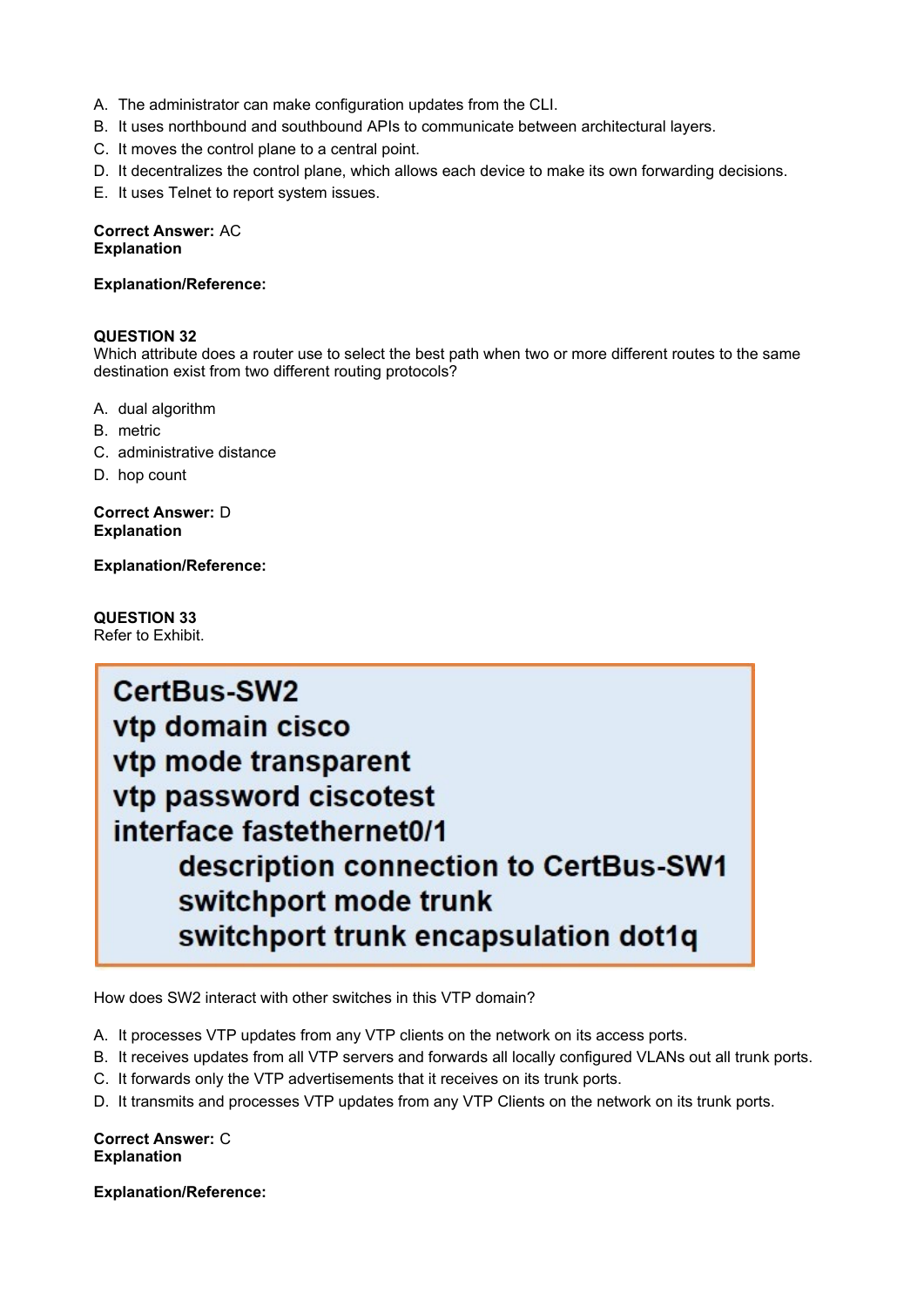- A. The administrator can make configuration updates from the CLI.
- B. It uses northbound and southbound APIs to communicate between architectural layers.
- C. It moves the control plane to a central point.
- D. It decentralizes the control plane, which allows each device to make its own forwarding decisions.
- E. It uses Telnet to report system issues.

### **Correct Answer:** AC **Explanation**

## **Explanation/Reference:**

## **QUESTION 32**

Which attribute does a router use to select the best path when two or more different routes to the same destination exist from two different routing protocols?

- A. dual algorithm
- B. metric
- C. administrative distance
- D. hop count

**Correct Answer:** D **Explanation**

**Explanation/Reference:**

**QUESTION 33** Refer to Exhibit.



How does SW2 interact with other switches in this VTP domain?

- A. It processes VTP updates from any VTP clients on the network on its access ports.
- B. It receives updates from all VTP servers and forwards all locally configured VLANs out all trunk ports.
- C. It forwards only the VTP advertisements that it receives on its trunk ports.
- D. It transmits and processes VTP updates from any VTP Clients on the network on its trunk ports.

**Correct Answer:** C **Explanation**

**Explanation/Reference:**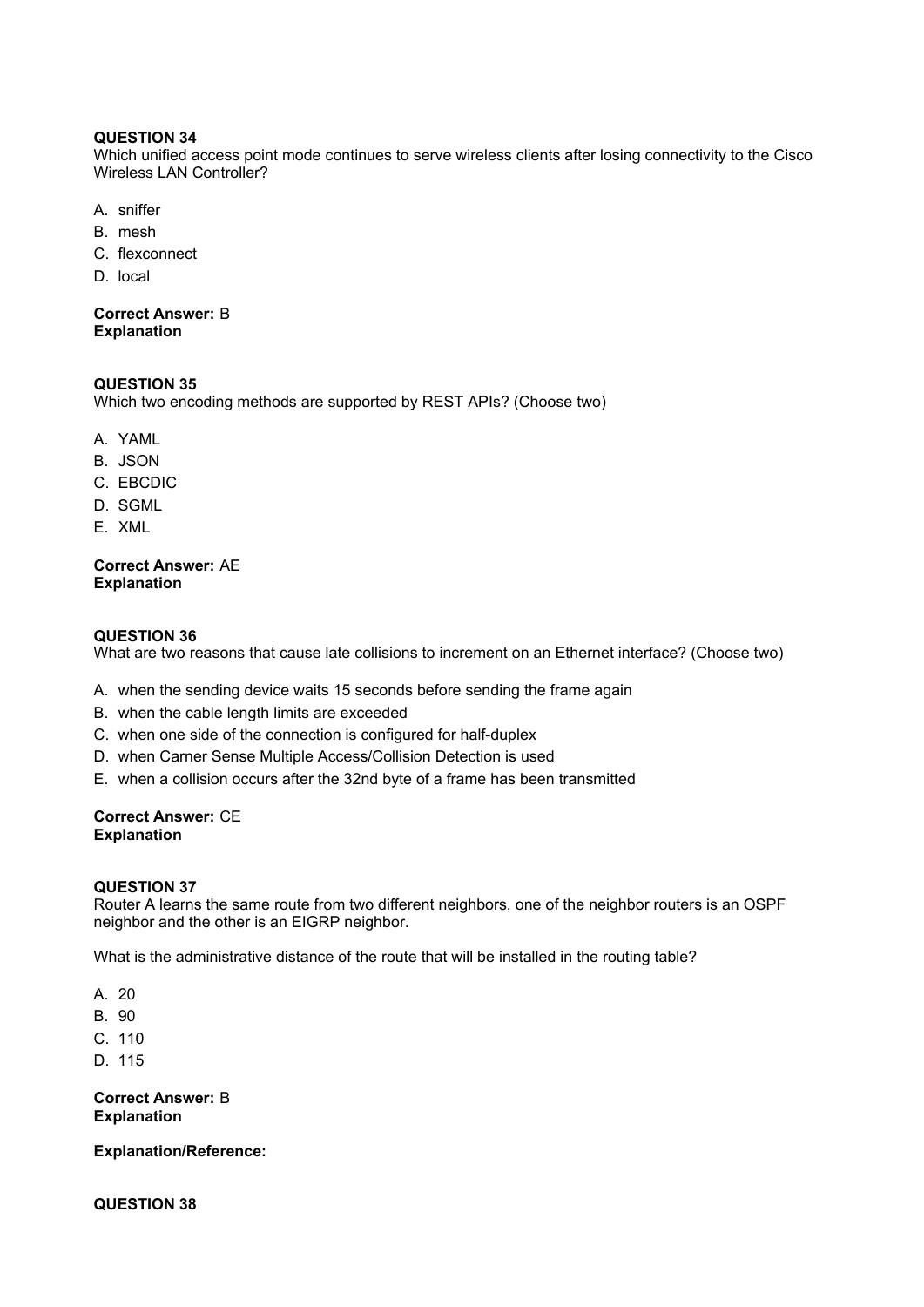## **QUESTION 34**

Which unified access point mode continues to serve wireless clients after losing connectivity to the Cisco Wireless LAN Controller?

- A. sniffer
- B. mesh
- C. flexconnect
- D. local

**Correct Answer:** B **Explanation**

## **QUESTION 35**

Which two encoding methods are supported by REST APIs? (Choose two)

- A. YAML
- B. JSON
- C. EBCDIC
- D. SGML
- E. XML

## **Correct Answer:** AE **Explanation**

# **QUESTION 36**

What are two reasons that cause late collisions to increment on an Ethernet interface? (Choose two)

- A. when the sending device waits 15 seconds before sending the frame again
- B. when the cable length limits are exceeded
- C. when one side of the connection is configured for half-duplex
- D. when Carner Sense Multiple Access/Collision Detection is used
- E. when a collision occurs after the 32nd byte of a frame has been transmitted

# **Correct Answer:** CE **Explanation**

## **QUESTION 37**

Router A learns the same route from two different neighbors, one of the neighbor routers is an OSPF neighbor and the other is an EIGRP neighbor.

What is the administrative distance of the route that will be installed in the routing table?

- A. 20
- B. 90
- C. 110
- D. 115

**Correct Answer:** B **Explanation**

**Explanation/Reference:**

**QUESTION 38**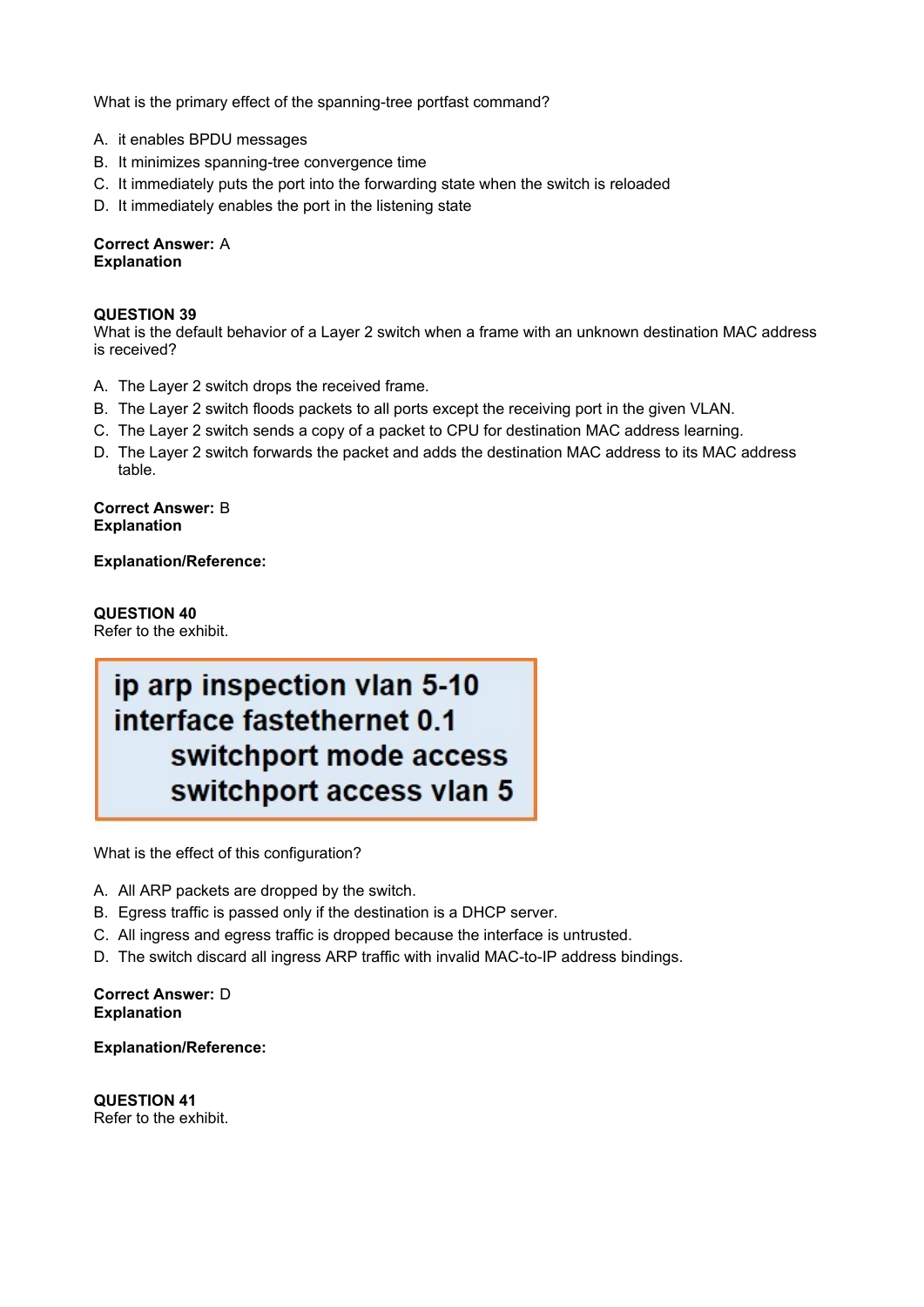What is the primary effect of the spanning-tree portfast command?

- A. it enables BPDU messages
- B. It minimizes spanning-tree convergence time
- C. It immediately puts the port into the forwarding state when the switch is reloaded
- D. It immediately enables the port in the listening state

# **Correct Answer:** A **Explanation**

## **QUESTION 39**

What is the default behavior of a Layer 2 switch when a frame with an unknown destination MAC address is received?

- A. The Layer 2 switch drops the received frame.
- B. The Layer 2 switch floods packets to all ports except the receiving port in the given VLAN.
- C. The Layer 2 switch sends a copy of a packet to CPU for destination MAC address learning.
- D. The Layer 2 switch forwards the packet and adds the destination MAC address to its MAC address table.

**Correct Answer:** B **Explanation**

**Explanation/Reference:**

# **QUESTION 40**

Refer to the exhibit.

# ip arp inspection vlan 5-10 interface fastethernet 0.1 switchport mode access switchport access vlan 5

What is the effect of this configuration?

- A. All ARP packets are dropped by the switch.
- B. Egress traffic is passed only if the destination is a DHCP server.
- C. All ingress and egress traffic is dropped because the interface is untrusted.
- D. The switch discard all ingress ARP traffic with invalid MAC-to-IP address bindings.

### **Correct Answer:** D **Explanation**

**Explanation/Reference:**

**QUESTION 41** Refer to the exhibit.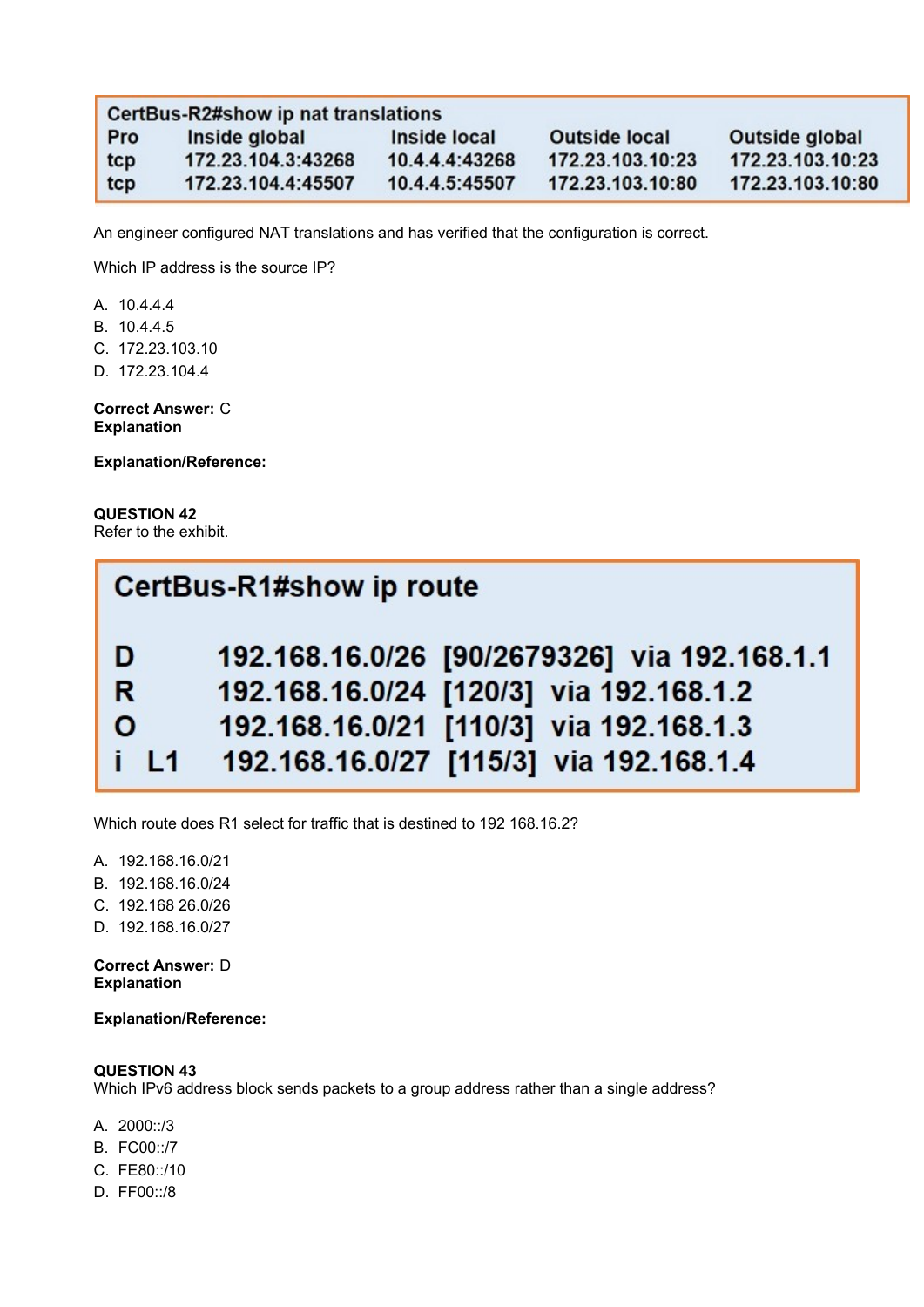| CertBus-R2#show ip nat translations |                    |                |                      |                  |  |
|-------------------------------------|--------------------|----------------|----------------------|------------------|--|
| <b>Pro</b>                          | Inside global      | Inside local   | <b>Outside local</b> | Outside global   |  |
| tcp                                 | 172.23.104.3:43268 | 10.4.4.4:43268 | 172.23.103.10:23     | 172.23.103.10:23 |  |
| tcp                                 | 172.23.104.4:45507 | 10.4.4.5:45507 | 172.23.103.10:80     | 172.23.103.10:80 |  |

An engineer configured NAT translations and has verified that the configuration is correct.

Which IP address is the source IP?

A. 10.4.4.4

B. 10.4.4.5

C. 172.23.103.10

D. 172.23.104.4

**Correct Answer:** C **Explanation**

**Explanation/Reference:**

**QUESTION 42** Refer to the exhibit.

| CertBus-R1#show ip route |                                              |  |  |
|--------------------------|----------------------------------------------|--|--|
| D                        | 192.168.16.0/26 [90/2679326] via 192.168.1.1 |  |  |
| R.                       | 192.168.16.0/24 [120/3] via 192.168.1.2      |  |  |
| $\mathbf{o}$             | 192.168.16.0/21 [110/3] via 192.168.1.3      |  |  |
| $\mathbf{i}$ L1          | 192.168.16.0/27 [115/3] via 192.168.1.4      |  |  |

Which route does R1 select for traffic that is destined to 192 168.16.2?

A. 192.168.16.0/21

- B. 192.168.16.0/24
- C. 192.168 26.0/26
- D. 192.168.16.0/27

**Correct Answer:** D **Explanation**

**Explanation/Reference:**

## **QUESTION 43**

Which IPv6 address block sends packets to a group address rather than a single address?

- A. 2000::/3
- B. FC00::/7
- C. FE80::/10
- D. FF00::/8